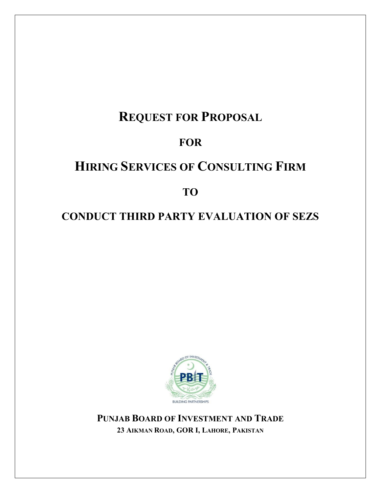# **REQUEST FOR PROPOSAL**

# **FOR**

# **HIRING SERVICES OF CONSULTING FIRM**

# **TO**

# **CONDUCT THIRD PARTY EVALUATION OF SEZS**



**PUNJAB BOARD OF INVESTMENT AND TRADE 23 AIKMAN ROAD, GOR I, LAHORE, PAKISTAN**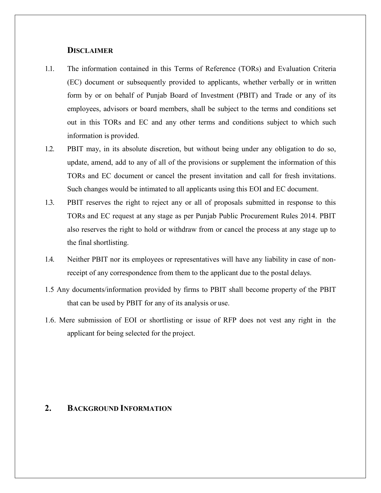#### **DISCLAIMER**

- 1.1. The information contained in this Terms of Reference (TORs) and Evaluation Criteria (EC) document or subsequently provided to applicants, whether verbally or in written form by or on behalf of Punjab Board of Investment (PBIT) and Trade or any of its employees, advisors or board members, shall be subject to the terms and conditions set out in this TORs and EC and any other terms and conditions subject to which such information is provided.
- 1.2. PBIT may, in its absolute discretion, but without being under any obligation to do so, update, amend, add to any of all of the provisions or supplement the information of this TORs and EC document or cancel the present invitation and call for fresh invitations. Such changes would be intimated to all applicants using this EOI and EC document.
- 1.3. PBIT reserves the right to reject any or all of proposals submitted in response to this TORs and EC request at any stage as per Punjab Public Procurement Rules 2014. PBIT also reserves the right to hold or withdraw from or cancel the process at any stage up to the final shortlisting.
- 1.4. Neither PBIT nor its employees or representatives will have any liability in case of nonreceipt of any correspondence from them to the applicant due to the postal delays.
- 1.5 Any documents/information provided by firms to PBIT shall become property of the PBIT that can be used by PBIT for any of its analysis or use.
- 1.6. Mere submission of EOI or shortlisting or issue of RFP does not vest any right in the applicant for being selected for the project.

## **2. BACKGROUND INFORMATION**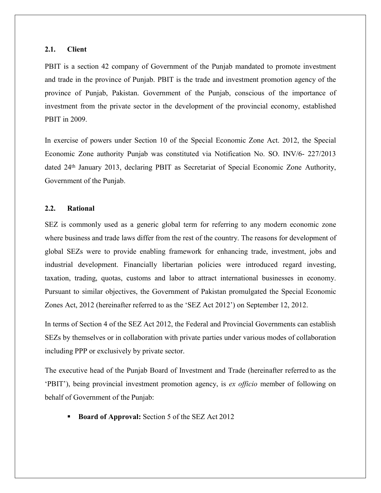#### **2.1. Client**

PBIT is a section 42 company of Government of the Punjab mandated to promote investment and trade in the province of Punjab. PBIT is the trade and investment promotion agency of the province of Punjab, Pakistan. Government of the Punjab, conscious of the importance of investment from the private sector in the development of the provincial economy, established PBIT in 2009.

In exercise of powers under Section 10 of the Special Economic Zone Act. 2012, the Special Economic Zone authority Punjab was constituted via Notification No. SO. INV/6- 227/2013 dated 24th January 2013, declaring PBIT as Secretariat of Special Economic Zone Authority, Government of the Punjab.

#### **2.2. Rational**

SEZ is commonly used as a generic global term for referring to any modern economic zone where business and trade laws differ from the rest of the country. The reasons for development of global SEZs were to provide enabling framework for enhancing trade, investment, jobs and industrial development. Financially libertarian policies were introduced regard investing, taxation, trading, quotas, customs and labor to attract international businesses in economy. Pursuant to similar objectives, the Government of Pakistan promulgated the Special Economic Zones Act, 2012 (hereinafter referred to as the 'SEZ Act 2012') on September 12, 2012.

In terms of Section 4 of the SEZ Act 2012, the Federal and Provincial Governments can establish SEZs by themselves or in collaboration with private parties under various modes of collaboration including PPP or exclusively by private sector.

The executive head of the Punjab Board of Investment and Trade (hereinafter referred to as the 'PBIT'), being provincial investment promotion agency, is *ex officio* member of following on behalf of Government of the Punjab:

**Board of Approval:** Section 5 of the SEZ Act 2012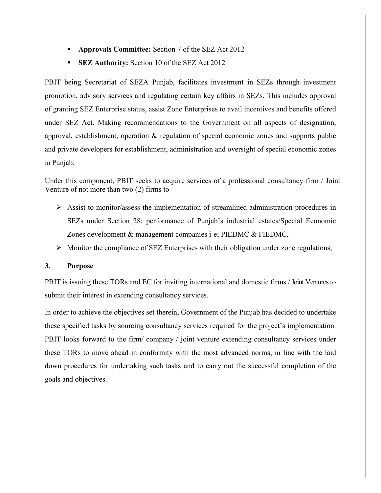- **Approvals Committee:** Section 7 of the SEZ Act 2012
- **SEZ Authority:** Section 10 of the SEZ Act 2012

PBIT being Secretariat of SEZA Punjab, facilitates investment in SEZs through investment promotion, advisory services and regulating certain key affairs in SEZs. This includes approval of granting SEZ Enterprise status, assist Zone Enterprises to avail incentives and benefits offered under SEZ Act. Making recommendations to the Government on all aspects of designation, approval, establishment, operation & regulation of special economic zones and supports public and private developers for establishment, administration and oversight of special economic zones in Punjab.

Under this component, PBIT seeks to acquire services of a professional consultancy firm / Joint Venture of not more than two (2) firms to

- $\triangleright$  Assist to monitor/assess the implementation of streamlined administration procedures in SEZs under Section 28; performance of Punjab's industrial estates/Special Economic Zones development & management companies i-e; PIEDMC & FIEDMC,
- $\triangleright$  Monitor the compliance of SEZ Enterprises with their obligation under zone regulations,

#### **3. Purpose**

PBIT is issuing these TORs and EC for inviting international and domestic firms / Joint Ventures to submit their interest in extending consultancy services.

In order to achieve the objectives set therein, Government of the Punjab has decided to undertake these specified tasks by sourcing consultancy services required for the project's implementation. PBIT looks forward to the firm/ company / joint venture extending consultancy services under these TORs to move ahead in conformity with the most advanced norms, in line with the laid down procedures for undertaking such tasks and to carry out the successful completion of the goals and objectives.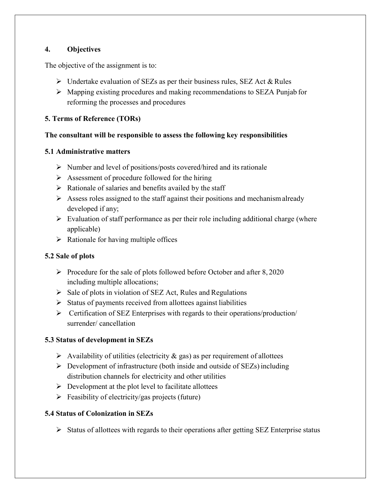### **4. Objectives**

The objective of the assignment is to:

- $\triangleright$  Undertake evaluation of SEZs as per their business rules, SEZ Act & Rules
- Mapping existing procedures and making recommendations to SEZA Punjab for reforming the processes and procedures

#### **5. Terms of Reference (TORs)**

#### **The consultant will be responsible to assess the following key responsibilities**

#### **5.1 Administrative matters**

- $\triangleright$  Number and level of positions/posts covered/hired and its rationale
- $\triangleright$  Assessment of procedure followed for the hiring
- $\triangleright$  Rationale of salaries and benefits availed by the staff
- $\triangleright$  Assess roles assigned to the staff against their positions and mechanism already developed if any;
- $\triangleright$  Evaluation of staff performance as per their role including additional charge (where applicable)
- $\triangleright$  Rationale for having multiple offices

### **5.2 Sale of plots**

- Procedure for the sale of plots followed before October and after  $8,2020$ including multiple allocations;
- $\triangleright$  Sale of plots in violation of SEZ Act, Rules and Regulations
- $\triangleright$  Status of payments received from allottees against liabilities
- $\triangleright$  Certification of SEZ Enterprises with regards to their operations/production/ surrender/ cancellation

### **5.3 Status of development in SEZs**

- $\triangleright$  Availability of utilities (electricity & gas) as per requirement of allottees
- $\triangleright$  Development of infrastructure (both inside and outside of SEZs) including distribution channels for electricity and other utilities
- $\triangleright$  Development at the plot level to facilitate allottees
- $\triangleright$  Feasibility of electricity/gas projects (future)

### **5.4 Status of Colonization in SEZs**

 $\triangleright$  Status of allottees with regards to their operations after getting SEZ Enterprise status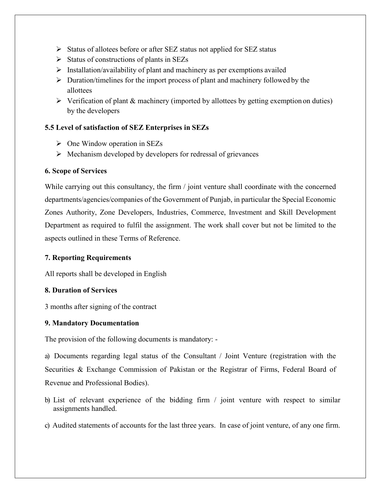- $\triangleright$  Status of allotees before or after SEZ status not applied for SEZ status
- $\triangleright$  Status of constructions of plants in SEZs
- $\triangleright$  Installation/availability of plant and machinery as per exemptions availed
- $\triangleright$  Duration/timelines for the import process of plant and machinery followed by the allottees
- $\triangleright$  Verification of plant & machinery (imported by allottees by getting exemption on duties) by the developers

### **5.5 Level of satisfaction of SEZ Enterprises in SEZs**

- $\triangleright$  One Window operation in SEZs
- $\triangleright$  Mechanism developed by developers for redressal of grievances

### **6. Scope of Services**

While carrying out this consultancy, the firm / joint venture shall coordinate with the concerned departments/agencies/companies of the Government of Punjab, in particular the Special Economic Zones Authority, Zone Developers, Industries, Commerce, Investment and Skill Development Department as required to fulfil the assignment. The work shall cover but not be limited to the aspects outlined in these Terms of Reference.

### **7. Reporting Requirements**

All reports shall be developed in English

### **8. Duration of Services**

3 months after signing of the contract

### **9. Mandatory Documentation**

The provision of the following documents is mandatory: -

a) Documents regarding legal status of the Consultant / Joint Venture (registration with the Securities & Exchange Commission of Pakistan or the Registrar of Firms, Federal Board of Revenue and Professional Bodies).

- b) List of relevant experience of the bidding firm / joint venture with respect to similar assignments handled.
- c) Audited statements of accounts for the last three years. In case of joint venture, of any one firm.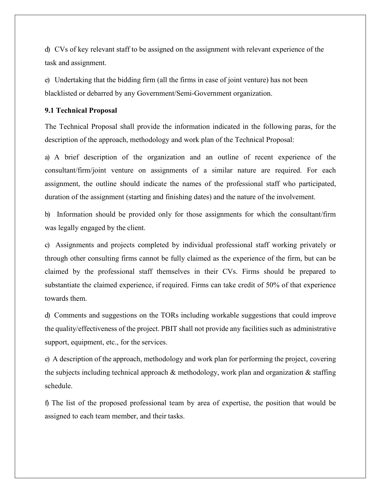d) CVs of key relevant staff to be assigned on the assignment with relevant experience of the task and assignment.

e) Undertaking that the bidding firm (all the firms in case of joint venture) has not been blacklisted or debarred by any Government/Semi-Government organization.

#### **9.1 Technical Proposal**

The Technical Proposal shall provide the information indicated in the following paras, for the description of the approach, methodology and work plan of the Technical Proposal:

a) A brief description of the organization and an outline of recent experience of the consultant/firm/joint venture on assignments of a similar nature are required. For each assignment, the outline should indicate the names of the professional staff who participated, duration of the assignment (starting and finishing dates) and the nature of the involvement.

b) Information should be provided only for those assignments for which the consultant/firm was legally engaged by the client.

c) Assignments and projects completed by individual professional staff working privately or through other consulting firms cannot be fully claimed as the experience of the firm, but can be claimed by the professional staff themselves in their CVs. Firms should be prepared to substantiate the claimed experience, if required. Firms can take credit of 50% of that experience towards them.

d) Comments and suggestions on the TORs including workable suggestions that could improve the quality/effectiveness of the project. PBIT shall not provide any facilities such as administrative support, equipment, etc., for the services.

e) A description of the approach, methodology and work plan for performing the project, covering the subjects including technical approach & methodology, work plan and organization & staffing schedule.

f) The list of the proposed professional team by area of expertise, the position that would be assigned to each team member, and their tasks.